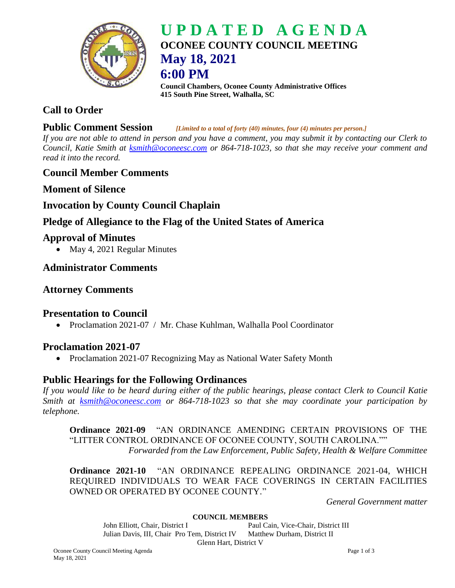

# **U P D A T E D A G E N D A OCONEE COUNTY COUNCIL MEETING May 18, 2021 6:00 PM**

**Council Chambers, Oconee County Administrative Offices 415 South Pine Street, Walhalla, SC**

# **Call to Order**

#### **Public Comment Session** *[Limited to a total of forty (40) minutes, four (4) minutes per person.]*

*If you are not able to attend in person and you have a comment, you may submit it by contacting our Clerk to Council, Katie Smith at [ksmith@oconeesc.com](mailto:ksmith@oconeesc.com) or 864-718-1023, so that she may receive your comment and read it into the record.*

# **Council Member Comments**

**Moment of Silence** 

# **Invocation by County Council Chaplain**

# **Pledge of Allegiance to the Flag of the United States of America**

# **Approval of Minutes**

• May 4, 2021 Regular Minutes

# **Administrator Comments**

# **Attorney Comments**

# **Presentation to Council**

• Proclamation 2021-07 / Mr. Chase Kuhlman, Walhalla Pool Coordinator

# **Proclamation 2021-07**

• Proclamation 2021-07 Recognizing May as National Water Safety Month

## **Public Hearings for the Following Ordinances**

*If you would like to be heard during either of the public hearings, please contact Clerk to Council Katie Smith at [ksmith@oconeesc.com](mailto:ksmith@oconeesc.com) or 864-718-1023 so that she may coordinate your participation by telephone.*

**Ordinance 2021-09** "AN ORDINANCE AMENDING CERTAIN PROVISIONS OF THE "LITTER CONTROL ORDINANCE OF OCONEE COUNTY, SOUTH CAROLINA."" *Forwarded from the Law Enforcement, Public Safety, Health & Welfare Committee*

**Ordinance 2021-10** "AN ORDINANCE REPEALING ORDINANCE 2021-04, WHICH REQUIRED INDIVIDUALS TO WEAR FACE COVERINGS IN CERTAIN FACILITIES OWNED OR OPERATED BY OCONEE COUNTY."

*General Government matter*

#### **COUNCIL MEMBERS**

John Elliott, Chair, District I Paul Cain, Vice-Chair, District III Julian Davis, III, Chair Pro Tem, District IV Matthew Durham, District II Glenn Hart, District V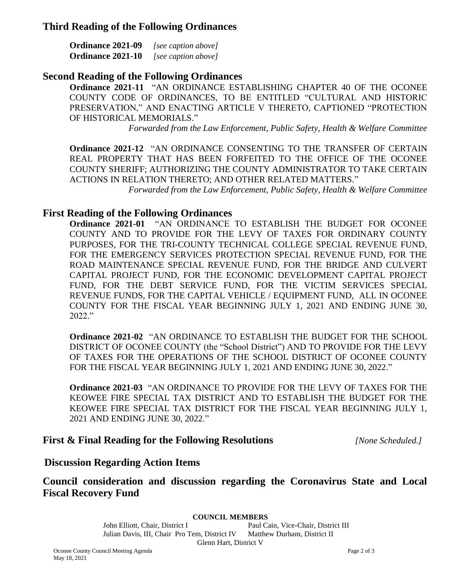## **Third Reading of the Following Ordinances**

| <b>Ordinance 2021-09</b> | [see caption above] |
|--------------------------|---------------------|
| <b>Ordinance 2021-10</b> | [see caption above] |

## **Second Reading of the Following Ordinances**

**Ordinance 2021-11** "AN ORDINANCE ESTABLISHING CHAPTER 40 OF THE OCONEE COUNTY CODE OF ORDINANCES, TO BE ENTITLED "CULTURAL AND HISTORIC PRESERVATION," AND ENACTING ARTICLE V THERETO, CAPTIONED "PROTECTION OF HISTORICAL MEMORIALS."

*Forwarded from the Law Enforcement, Public Safety, Health & Welfare Committee*

**Ordinance 2021-12** "AN ORDINANCE CONSENTING TO THE TRANSFER OF CERTAIN REAL PROPERTY THAT HAS BEEN FORFEITED TO THE OFFICE OF THE OCONEE COUNTY SHERIFF; AUTHORIZING THE COUNTY ADMINISTRATOR TO TAKE CERTAIN ACTIONS IN RELATION THERETO; AND OTHER RELATED MATTERS."

*Forwarded from the Law Enforcement, Public Safety, Health & Welfare Committee*

## **First Reading of the Following Ordinances**

**Ordinance 2021-01** "AN ORDINANCE TO ESTABLISH THE BUDGET FOR OCONEE COUNTY AND TO PROVIDE FOR THE LEVY OF TAXES FOR ORDINARY COUNTY PURPOSES, FOR THE TRI-COUNTY TECHNICAL COLLEGE SPECIAL REVENUE FUND, FOR THE EMERGENCY SERVICES PROTECTION SPECIAL REVENUE FUND, FOR THE ROAD MAINTENANCE SPECIAL REVENUE FUND, FOR THE BRIDGE AND CULVERT CAPITAL PROJECT FUND, FOR THE ECONOMIC DEVELOPMENT CAPITAL PROJECT FUND, FOR THE DEBT SERVICE FUND, FOR THE VICTIM SERVICES SPECIAL REVENUE FUNDS, FOR THE CAPITAL VEHICLE / EQUIPMENT FUND, ALL IN OCONEE COUNTY FOR THE FISCAL YEAR BEGINNING JULY 1, 2021 AND ENDING JUNE 30, 2022."

**Ordinance 2021-02** "AN ORDINANCE TO ESTABLISH THE BUDGET FOR THE SCHOOL DISTRICT OF OCONEE COUNTY (the "School District") AND TO PROVIDE FOR THE LEVY OF TAXES FOR THE OPERATIONS OF THE SCHOOL DISTRICT OF OCONEE COUNTY FOR THE FISCAL YEAR BEGINNING JULY 1, 2021 AND ENDING JUNE 30, 2022."

**Ordinance 2021-03** "AN ORDINANCE TO PROVIDE FOR THE LEVY OF TAXES FOR THE KEOWEE FIRE SPECIAL TAX DISTRICT AND TO ESTABLISH THE BUDGET FOR THE KEOWEE FIRE SPECIAL TAX DISTRICT FOR THE FISCAL YEAR BEGINNING JULY 1, 2021 AND ENDING JUNE 30, 2022."

## **First & Final Reading for the Following Resolutions** *[None Scheduled.]*

## **Discussion Regarding Action Items**

**Council consideration and discussion regarding the Coronavirus State and Local Fiscal Recovery Fund**

**COUNCIL MEMBERS**